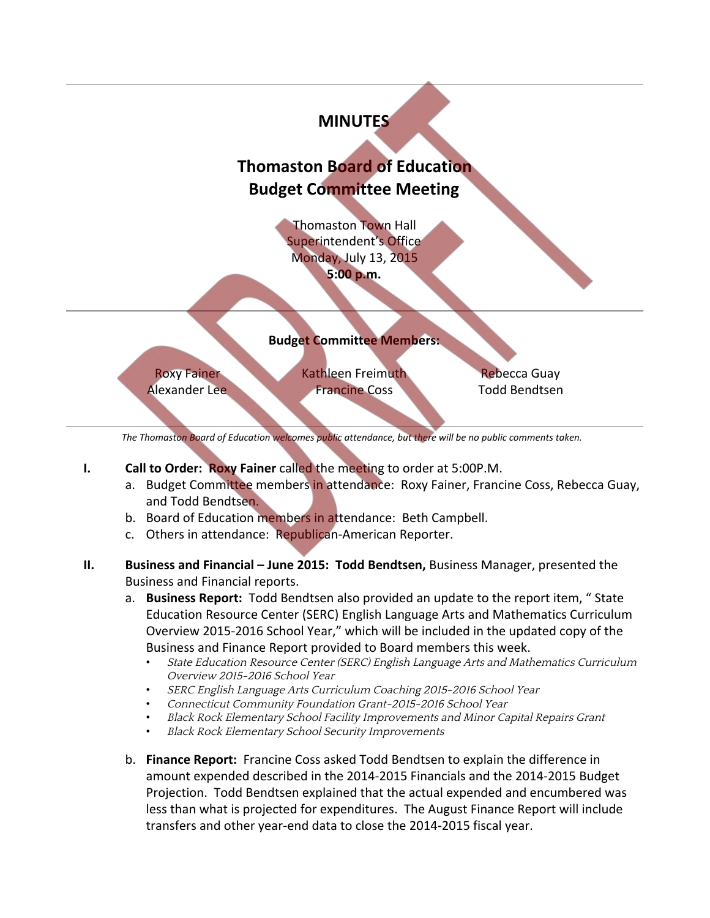

- **I. Call to Order: Roxy Fainer** called the meeting to order at 5:00P.M.
	- a. Budget Committee members in attendance: Roxy Fainer, Francine Coss, Rebecca Guay, and Todd Bendtsen.
	- b. Board of Education members in attendance: Beth Campbell.
	- c. Others in attendance: Republican-American Reporter.
- **II. Business and Financial – June 2015: Todd Bendtsen,** Business Manager, presented the Business and Financial reports.
	- a. **Business Report:** Todd Bendtsen also provided an update to the report item, " State Education Resource Center (SERC) English Language Arts and Mathematics Curriculum Overview 2015-2016 School Year," which will be included in the updated copy of the Business and Finance Report provided to Board members this week.
		- State Education Resource Center (SERC) English Language Arts and Mathematics Curriculum Overview 2015-2016 School Year
		- SERC English Language Arts Curriculum Coaching 2015-2016 School Year
		- Connecticut Community Foundation Grant-2015-2016 School Year
		- Black Rock Elementary School Facility Improvements and Minor Capital Repairs Grant
		- Black Rock Elementary School Security Improvements
	- b. **Finance Report:** Francine Coss asked Todd Bendtsen to explain the difference in amount expended described in the 2014-2015 Financials and the 2014-2015 Budget Projection. Todd Bendtsen explained that the actual expended and encumbered was less than what is projected for expenditures. The August Finance Report will include transfers and other year-end data to close the 2014-2015 fiscal year.